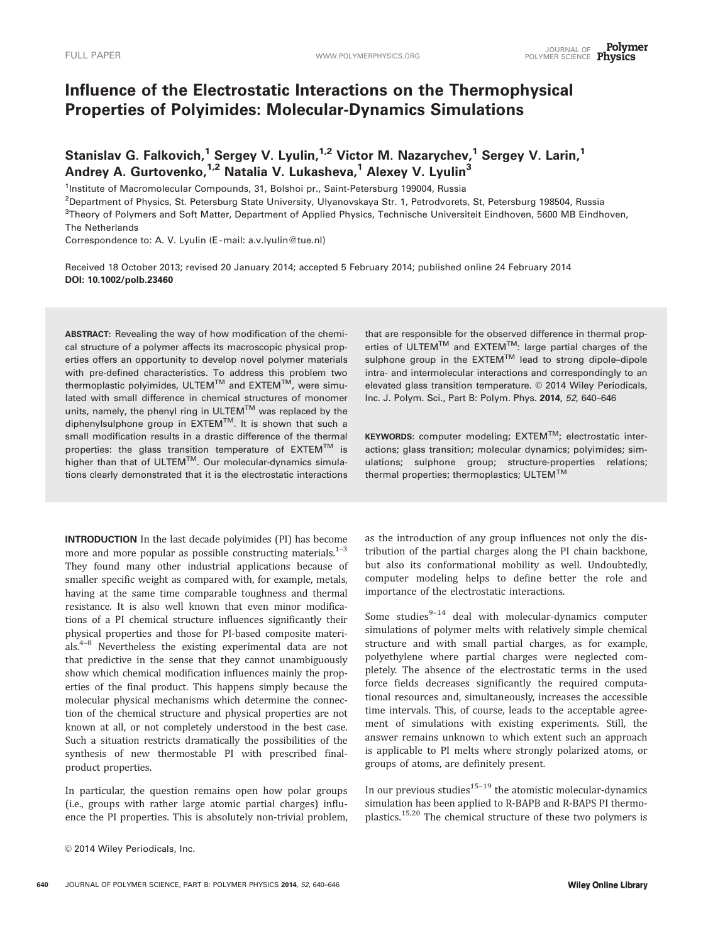# Influence of the Electrostatic Interactions on the Thermophysical Properties of Polyimides: Molecular-Dynamics Simulations

Stanislav G. Falkovich,<sup>1</sup> Sergey V. Lyulin,<sup>1,2</sup> Victor M. Nazarychev,<sup>1</sup> Sergey V. Larin,<sup>1</sup> Andrey A. Gurtovenko,<sup>1,2</sup> Natalia V. Lukasheva,<sup>1</sup> Alexey V. Lyulin<sup>3</sup>

<sup>1</sup>Institute of Macromolecular Compounds, 31, Bolshoi pr., Saint-Petersburg 199004, Russia

2 Department of Physics, St. Petersburg State University, Ulyanovskaya Str. 1, Petrodvorets, St, Petersburg 198504, Russia <sup>3</sup>Theory of Polymers and Soft Matter, Department of Applied Physics, Technische Universiteit Eindhoven, 5600 MB Eindhoven, The Netherlands

Correspondence to: A. V. Lyulin (E-mail: a.v.lyulin@tue.nl)

Received 18 October 2013; revised 20 January 2014; accepted 5 February 2014; published online 24 February 2014 DOI: 10.1002/polb.23460

ABSTRACT: Revealing the way of how modification of the chemical structure of a polymer affects its macroscopic physical properties offers an opportunity to develop novel polymer materials with pre-defined characteristics. To address this problem two thermoplastic polyimides, ULTEM™ and EXTEM™, were simulated with small difference in chemical structures of monomer units, namely, the phenyl ring in ULTEM™ was replaced by the diphenylsulphone group in EXTEMTM. It is shown that such a small modification results in a drastic difference of the thermal properties: the glass transition temperature of  $EXTEM^{TM}$  is higher than that of ULTEM $TM$ . Our molecular-dynamics simulations clearly demonstrated that it is the electrostatic interactions

INTRODUCTION In the last decade polyimides (PI) has become more and more popular as possible constructing materials. $1-3$ They found many other industrial applications because of smaller specific weight as compared with, for example, metals, having at the same time comparable toughness and thermal resistance. It is also well known that even minor modifications of a PI chemical structure influences significantly their physical properties and those for PI-based composite materials.4–8 Nevertheless the existing experimental data are not that predictive in the sense that they cannot unambiguously show which chemical modification influences mainly the properties of the final product. This happens simply because the molecular physical mechanisms which determine the connection of the chemical structure and physical properties are not known at all, or not completely understood in the best case. Such a situation restricts dramatically the possibilities of the synthesis of new thermostable PI with prescribed finalproduct properties.

In particular, the question remains open how polar groups (i.e., groups with rather large atomic partial charges) influence the PI properties. This is absolutely non-trivial problem,

640 JOURNAL OF POLYMER SCIENCE, PART B: POLYMER PHYSICS 2014, 52, 640–646

that are responsible for the observed difference in thermal properties of ULTEM<sup>TM</sup> and EXTEM<sup>TM</sup>: large partial charges of the sulphone group in the  $\mathsf{EXTEM}^{\mathsf{TM}}$  lead to strong dipole-dipole intra- and intermolecular interactions and correspondingly to an elevated glass transition temperature. © 2014 Wiley Periodicals, Inc. J. Polym. Sci., Part B: Polym. Phys. 2014, 52, 640–646

 $KEYWORDS:$  computer modeling;  $EXTEM^{TM}$ ; electrostatic interactions; glass transition; molecular dynamics; polyimides; simulations; sulphone group; structure-properties relations; thermal properties; thermoplastics; ULTEM<sup>TM</sup>

as the introduction of any group influences not only the distribution of the partial charges along the PI chain backbone, but also its conformational mobility as well. Undoubtedly, computer modeling helps to define better the role and importance of the electrostatic interactions.

Some studies $9-14$  deal with molecular-dynamics computer simulations of polymer melts with relatively simple chemical structure and with small partial charges, as for example, polyethylene where partial charges were neglected completely. The absence of the electrostatic terms in the used force fields decreases significantly the required computational resources and, simultaneously, increases the accessible time intervals. This, of course, leads to the acceptable agreement of simulations with existing experiments. Still, the answer remains unknown to which extent such an approach is applicable to PI melts where strongly polarized atoms, or groups of atoms, are definitely present.

In our previous studies<sup>15–19</sup> the atomistic molecular-dynamics simulation has been applied to R-BAPB and R-BAPS PI thermoplastics.<sup>15,20</sup> The chemical structure of these two polymers is

 $©$  2014 Wiley Periodicals, Inc.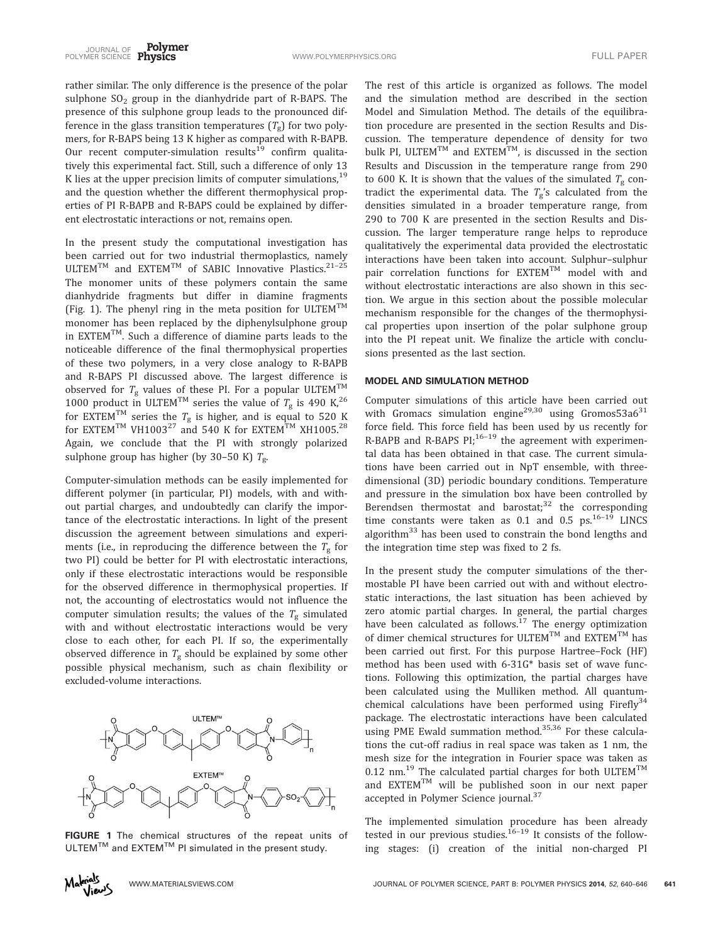rather similar. The only difference is the presence of the polar sulphone  $SO<sub>2</sub>$  group in the dianhydride part of R-BAPS. The presence of this sulphone group leads to the pronounced difference in the glass transition temperatures  $(T_g)$  for two polymers, for R-BAPS being 13 K higher as compared with R-BAPB. Our recent computer-simulation results<sup>19</sup> confirm qualitatively this experimental fact. Still, such a difference of only 13 K lies at the upper precision limits of computer simulations,  $19$ and the question whether the different thermophysical properties of PI R-BAPB and R-BAPS could be explained by different electrostatic interactions or not, remains open.

In the present study the computational investigation has been carried out for two industrial thermoplastics, namely ULTEM<sup>TM</sup> and EXTEM<sup>TM</sup> of SABIC Innovative Plastics.<sup>21-25</sup> The monomer units of these polymers contain the same dianhydride fragments but differ in diamine fragments (Fig. 1). The phenyl ring in the meta position for ULTEM<sup>TM</sup> monomer has been replaced by the diphenylsulphone group in EXTEM<sup>TM</sup>. Such a difference of diamine parts leads to the noticeable difference of the final thermophysical properties of these two polymers, in a very close analogy to R-BAPB and R-BAPS PI discussed above. The largest difference is observed for  $T_{\rm g}$  values of these PI. For a popular ULTEM<sup>TM</sup> 1000 product in ULTEM<sup>TM</sup> series the value of  $T_g$  is 490 K,<sup>26</sup> for EXTEM $^{TM}$  series the  $T_g$  is higher, and is equal to 520 K for EXTEM<sup>TM</sup> VH1003<sup>27</sup> and 540 K for EXTEM<sup>TM</sup> XH1005.<sup>28</sup> Again, we conclude that the PI with strongly polarized sulphone group has higher (by 30–50 K)  $T_g$ .

Computer-simulation methods can be easily implemented for different polymer (in particular, PI) models, with and without partial charges, and undoubtedly can clarify the importance of the electrostatic interactions. In light of the present discussion the agreement between simulations and experiments (i.e., in reproducing the difference between the  $T_g$  for two PI) could be better for PI with electrostatic interactions, only if these electrostatic interactions would be responsible for the observed difference in thermophysical properties. If not, the accounting of electrostatics would not influence the computer simulation results; the values of the  $T_g$  simulated with and without electrostatic interactions would be very close to each other, for each PI. If so, the experimentally observed difference in  $T_g$  should be explained by some other possible physical mechanism, such as chain flexibility or excluded-volume interactions.



FIGURE 1 The chemical structures of the repeat units of  $ULTEM<sup>TM</sup>$  and  $EXTEM<sup>TM</sup>$  PI simulated in the present study.



The rest of this article is organized as follows. The model and the simulation method are described in the section Model and Simulation Method. The details of the equilibration procedure are presented in the section Results and Discussion. The temperature dependence of density for two bulk PI, ULTEM<sup>TM</sup> and EXTEM<sup>TM</sup>, is discussed in the section Results and Discussion in the temperature range from 290 to 600 K. It is shown that the values of the simulated  $T_g$  contradict the experimental data. The  $T_g$ 's calculated from the densities simulated in a broader temperature range, from 290 to 700 K are presented in the section Results and Discussion. The larger temperature range helps to reproduce qualitatively the experimental data provided the electrostatic interactions have been taken into account. Sulphur–sulphur pair correlation functions for EXTEM<sup>TM</sup> model with and without electrostatic interactions are also shown in this section. We argue in this section about the possible molecular mechanism responsible for the changes of the thermophysical properties upon insertion of the polar sulphone group into the PI repeat unit. We finalize the article with conclusions presented as the last section.

#### MODEL AND SIMULATION METHOD

Computer simulations of this article have been carried out with Gromacs simulation engine<sup>29,30</sup> using Gromos53a6<sup>31</sup> force field. This force field has been used by us recently for R-BAPB and R-BAPS PI;  $16-19$  the agreement with experimental data has been obtained in that case. The current simulations have been carried out in NpT ensemble, with threedimensional (3D) periodic boundary conditions. Temperature and pressure in the simulation box have been controlled by Berendsen thermostat and barostat; $32$  the corresponding time constants were taken as 0.1 and 0.5  $ps.^{16-19}$  LINCS algorithm<sup>33</sup> has been used to constrain the bond lengths and the integration time step was fixed to 2 fs.

In the present study the computer simulations of the thermostable PI have been carried out with and without electrostatic interactions, the last situation has been achieved by zero atomic partial charges. In general, the partial charges have been calculated as follows. $17$  The energy optimization of dimer chemical structures for ULTEM<sup>TM</sup> and EXTEM<sup>TM</sup> has been carried out first. For this purpose Hartree–Fock (HF) method has been used with 6-31G\* basis set of wave functions. Following this optimization, the partial charges have been calculated using the Mulliken method. All quantumchemical calculations have been performed using Firefly $34$ package. The electrostatic interactions have been calculated using PME Ewald summation method.<sup>35,36</sup> For these calculations the cut-off radius in real space was taken as 1 nm, the mesh size for the integration in Fourier space was taken as 0.12 nm.<sup>19</sup> The calculated partial charges for both ULTEM<sup>TM</sup> and  $EXTEM^{TM}$  will be published soon in our next paper accepted in Polymer Science journal.<sup>37</sup>

The implemented simulation procedure has been already tested in our previous studies.<sup>16–19</sup> It consists of the following stages: (i) creation of the initial non-charged PI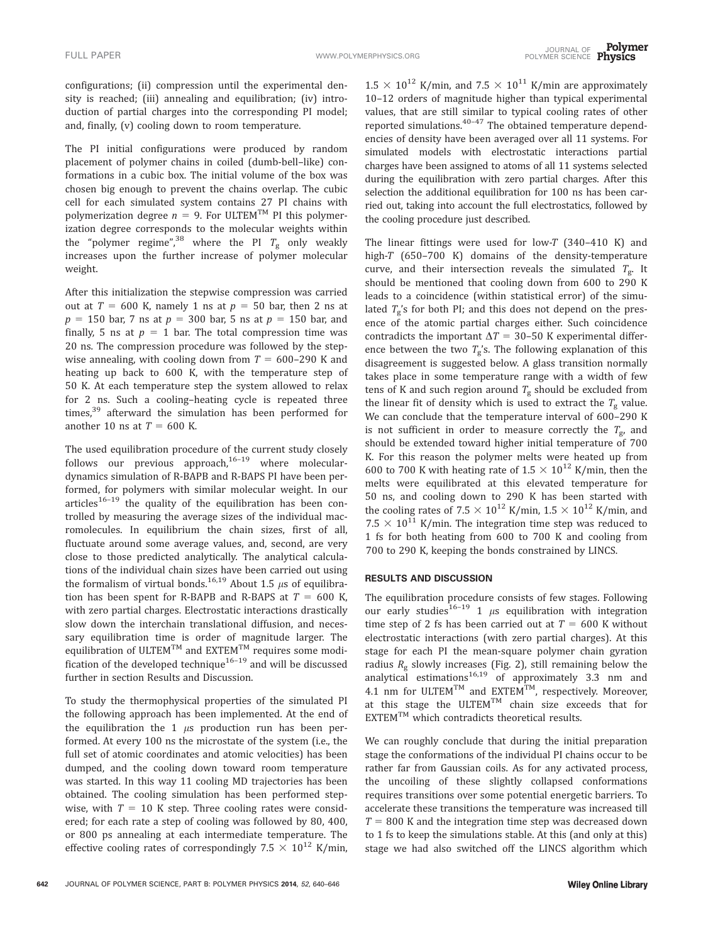configurations; (ii) compression until the experimental density is reached; (iii) annealing and equilibration; (iv) introduction of partial charges into the corresponding PI model; and, finally, (v) cooling down to room temperature.

The PI initial configurations were produced by random placement of polymer chains in coiled (dumb-bell–like) conformations in a cubic box. The initial volume of the box was chosen big enough to prevent the chains overlap. The cubic cell for each simulated system contains 27 PI chains with polymerization degree  $n = 9$ . For ULTEM<sup>TM</sup> PI this polymerization degree corresponds to the molecular weights within the "polymer regime",<sup>38</sup> where the PI  $T_g$  only weakly increases upon the further increase of polymer molecular weight.

After this initialization the stepwise compression was carried out at  $T = 600$  K, namely 1 ns at  $p = 50$  bar, then 2 ns at  $p = 150$  bar, 7 ns at  $p = 300$  bar, 5 ns at  $p = 150$  bar, and finally, 5 ns at  $p = 1$  bar. The total compression time was 20 ns. The compression procedure was followed by the stepwise annealing, with cooling down from  $T = 600-290$  K and heating up back to 600 K, with the temperature step of 50 K. At each temperature step the system allowed to relax for 2 ns. Such a cooling–heating cycle is repeated three times, $39$  afterward the simulation has been performed for another 10 ns at  $T = 600$  K.

The used equilibration procedure of the current study closely follows our previous approach, $16-19$  where moleculardynamics simulation of R-BAPB and R-BAPS PI have been performed, for polymers with similar molecular weight. In our articles<sup>16–19</sup> the quality of the equilibration has been controlled by measuring the average sizes of the individual macromolecules. In equilibrium the chain sizes, first of all, fluctuate around some average values, and, second, are very close to those predicted analytically. The analytical calculations of the individual chain sizes have been carried out using the formalism of virtual bonds.<sup>16,19</sup> About 1.5  $\mu$ s of equilibration has been spent for R-BAPB and R-BAPS at  $T = 600$  K, with zero partial charges. Electrostatic interactions drastically slow down the interchain translational diffusion, and necessary equilibration time is order of magnitude larger. The equilibration of ULTEM $^{\text{\tiny{\text{TM}}}}$  and EXTEM $^{\text{\tiny{\text{TM}}}}$  requires some modification of the developed technique $16-19}$  and will be discussed further in section Results and Discussion.

To study the thermophysical properties of the simulated PI the following approach has been implemented. At the end of the equilibration the 1  $\mu$ s production run has been performed. At every 100 ns the microstate of the system (i.e., the full set of atomic coordinates and atomic velocities) has been dumped, and the cooling down toward room temperature was started. In this way 11 cooling MD trajectories has been obtained. The cooling simulation has been performed stepwise, with  $T = 10$  K step. Three cooling rates were considered; for each rate a step of cooling was followed by 80, 400, or 800 ps annealing at each intermediate temperature. The effective cooling rates of correspondingly 7.5  $\times$  10<sup>12</sup> K/min,

 $1.5 \times 10^{12}$  K/min, and  $7.5 \times 10^{11}$  K/min are approximately 10–12 orders of magnitude higher than typical experimental values, that are still similar to typical cooling rates of other reported simulations.<sup>40-47</sup> The obtained temperature dependencies of density have been averaged over all 11 systems. For simulated models with electrostatic interactions partial charges have been assigned to atoms of all 11 systems selected during the equilibration with zero partial charges. After this selection the additional equilibration for 100 ns has been carried out, taking into account the full electrostatics, followed by the cooling procedure just described.

The linear fittings were used for low- $T$  (340-410 K) and high-T (650–700 K) domains of the density-temperature curve, and their intersection reveals the simulated  $T_{\rm g}$ . It should be mentioned that cooling down from 600 to 290 K leads to a coincidence (within statistical error) of the simulated  $T_g$ 's for both PI; and this does not depend on the presence of the atomic partial charges either. Such coincidence contradicts the important  $\Delta T = 30 - 50$  K experimental difference between the two  $T_g$ 's. The following explanation of this disagreement is suggested below. A glass transition normally takes place in some temperature range with a width of few tens of K and such region around  $T_g$  should be excluded from the linear fit of density which is used to extract the  $T_g$  value. We can conclude that the temperature interval of 600–290 K is not sufficient in order to measure correctly the  $T_{g}$ , and should be extended toward higher initial temperature of 700 K. For this reason the polymer melts were heated up from 600 to 700 K with heating rate of  $1.5 \times 10^{12}$  K/min, then the melts were equilibrated at this elevated temperature for 50 ns, and cooling down to 290 K has been started with the cooling rates of 7.5  $\times$   $10^{12}$  K/min, 1.5  $\times$   $10^{12}$  K/min, and 7.5  $\times$  10<sup>11</sup> K/min. The integration time step was reduced to 1 fs for both heating from 600 to 700 K and cooling from 700 to 290 K, keeping the bonds constrained by LINCS.

#### RESULTS AND DISCUSSION

The equilibration procedure consists of few stages. Following our early studies<sup>16-19</sup> 1  $\mu$ s equilibration with integration time step of 2 fs has been carried out at  $T = 600$  K without electrostatic interactions (with zero partial charges). At this stage for each PI the mean-square polymer chain gyration radius  $R_g$  slowly increases (Fig. 2), still remaining below the analytical estimations<sup>16,19</sup> of approximately 3.3 nm and 4.1 nm for ULTEM<sup>TM</sup> and EXTEM<sup>TM</sup>, respectively. Moreover, at this stage the  $ULTEM^{TM}$  chain size exceeds that for  $EXTEM^{TM}$  which contradicts theoretical results.

We can roughly conclude that during the initial preparation stage the conformations of the individual PI chains occur to be rather far from Gaussian coils. As for any activated process, the uncoiling of these slightly collapsed conformations requires transitions over some potential energetic barriers. To accelerate these transitions the temperature was increased till  $T = 800$  K and the integration time step was decreased down to 1 fs to keep the simulations stable. At this (and only at this) stage we had also switched off the LINCS algorithm which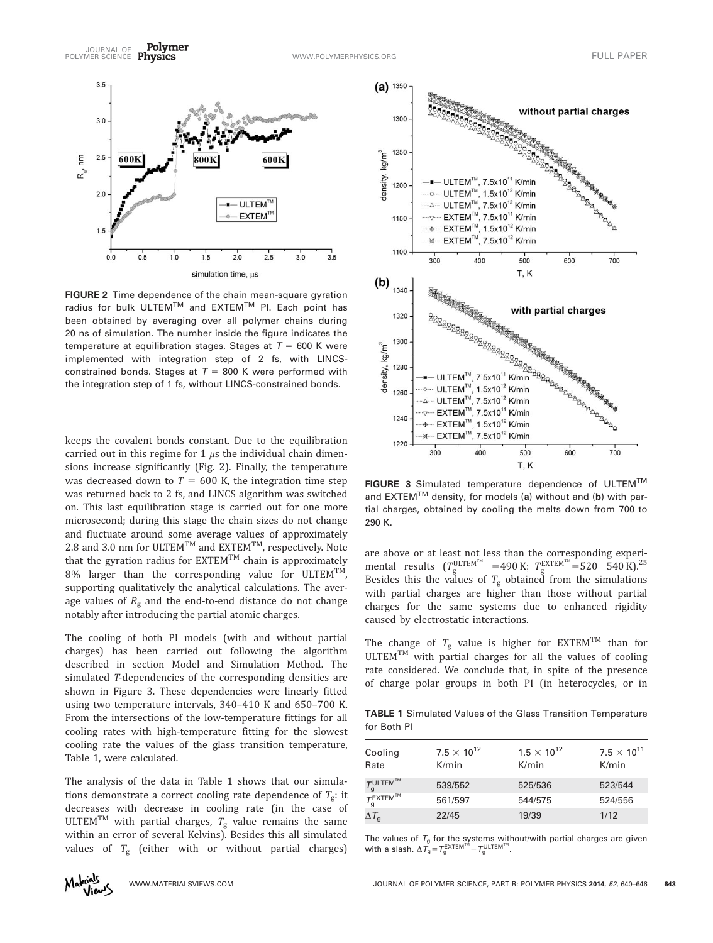

FIGURE 2 Time dependence of the chain mean-square gyration radius for bulk ULTEM™ and EXTEM™ PI. Each point has been obtained by averaging over all polymer chains during 20 ns of simulation. The number inside the figure indicates the temperature at equilibration stages. Stages at  $T = 600$  K were implemented with integration step of 2 fs, with LINCSconstrained bonds. Stages at  $T = 800$  K were performed with the integration step of 1 fs, without LINCS-constrained bonds.

keeps the covalent bonds constant. Due to the equilibration carried out in this regime for 1  $\mu$ s the individual chain dimensions increase significantly (Fig. 2). Finally, the temperature was decreased down to  $T = 600$  K, the integration time step was returned back to 2 fs, and LINCS algorithm was switched on. This last equilibration stage is carried out for one more microsecond; during this stage the chain sizes do not change and fluctuate around some average values of approximately 2.8 and 3.0 nm for ULTEM<sup>TM</sup> and EXTEM<sup>TM</sup>, respectively. Note that the gyration radius for  $EXTEM^{TM}$  chain is approximately 8% larger than the corresponding value for ULTEM<sup>TM</sup>, supporting qualitatively the analytical calculations. The average values of  $R_g$  and the end-to-end distance do not change notably after introducing the partial atomic charges.

The cooling of both PI models (with and without partial charges) has been carried out following the algorithm described in section Model and Simulation Method. The simulated T-dependencies of the corresponding densities are shown in Figure 3. These dependencies were linearly fitted using two temperature intervals, 340–410 K and 650–700 K. From the intersections of the low-temperature fittings for all cooling rates with high-temperature fitting for the slowest cooling rate the values of the glass transition temperature, Table 1, were calculated.

The analysis of the data in Table 1 shows that our simulations demonstrate a correct cooling rate dependence of  $T<sub>g</sub>$ : it decreases with decrease in cooling rate (in the case of ULTEM<sup>TM</sup> with partial charges,  $T_g$  value remains the same within an error of several Kelvins). Besides this all simulated values of  $T_g$  (either with or without partial charges)



FIGURE 3 Simulated temperature dependence of ULTEM™ and EXTEM<sup>TM</sup> density, for models (a) without and (b) with partial charges, obtained by cooling the melts down from 700 to 290 K.

are above or at least not less than the corresponding experimental results ( $T_{\rm g}^{\rm ULTEM™}$  =490 K;  $T_{\rm g}^{\rm EXTEM™}$ =520−540 K).<sup>25</sup> Besides this the values of  $T_{\rm g}$  obtained from the simulations with partial charges are higher than those without partial charges for the same systems due to enhanced rigidity caused by electrostatic interactions.

The change of  $T_g$  value is higher for EXTEM<sup>TM</sup> than for  $ULTEM<sup>TM</sup>$  with partial charges for all the values of cooling rate considered. We conclude that, in spite of the presence of charge polar groups in both PI (in heterocycles, or in

TABLE 1 Simulated Values of the Glass Transition Temperature for Both PI

| Cooling<br>Rate                         | $7.5 \times 10^{12}$<br>K/min | $1.5 \times 10^{12}$<br>K/min | $7.5 \times 10^{11}$<br>K/min |
|-----------------------------------------|-------------------------------|-------------------------------|-------------------------------|
| $T_{\alpha}^{\text{ULTEM}^{\text{TM}}}$ | 539/552                       | 525/536                       | 523/544                       |
| $T_{\alpha}^{\text{EXTEM}^{\text{TM}}}$ | 561/597                       | 544/575                       | 524/556                       |
| $\Delta\mathcal{T}_\mathsf{g}$          | 22/45                         | 19/39                         | 1/12                          |

The values of  $T_{\rm g}$  for the systems without/with partial charges are given<br>with a slash.  $\Delta T_{\rm g}=T_{\rm g}^{\rm EXTEM^{TM}}-T_{\rm g}^{\rm ULTEM^{TM}}$ .

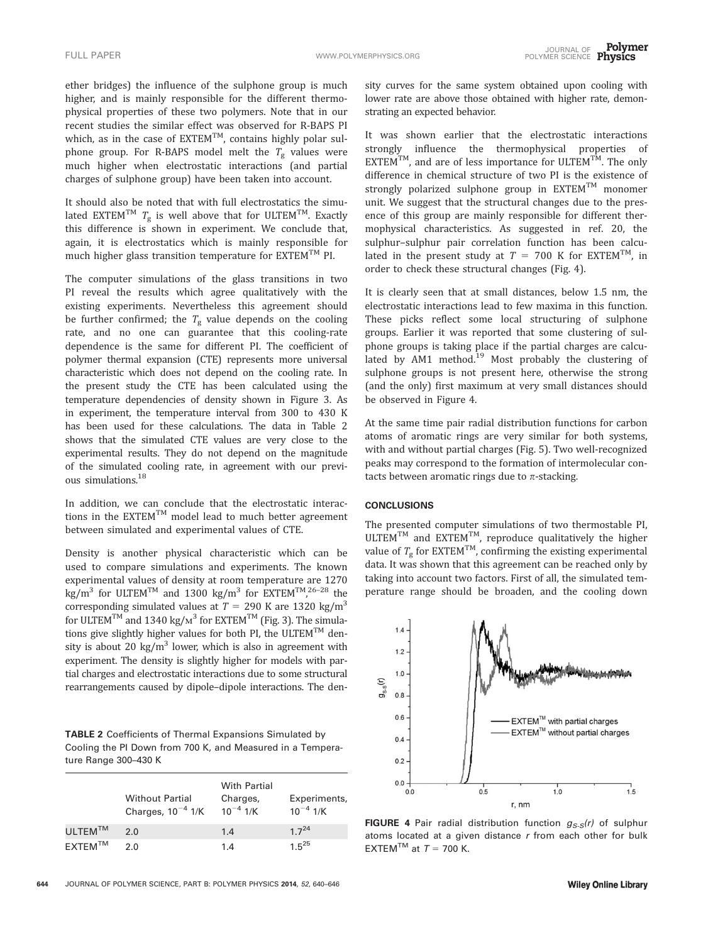ether bridges) the influence of the sulphone group is much higher, and is mainly responsible for the different thermophysical properties of these two polymers. Note that in our recent studies the similar effect was observed for R-BAPS PI which, as in the case of  $EXTEM^{TM}$ , contains highly polar sulphone group. For R-BAPS model melt the  $T_g$  values were much higher when electrostatic interactions (and partial charges of sulphone group) have been taken into account.

It should also be noted that with full electrostatics the simulated EXTEM<sup>TM</sup>  $T_g$  is well above that for ULTEM<sup>TM</sup>. Exactly this difference is shown in experiment. We conclude that, again, it is electrostatics which is mainly responsible for much higher glass transition temperature for  $EXTEM^{TM}$  PI.

The computer simulations of the glass transitions in two PI reveal the results which agree qualitatively with the existing experiments. Nevertheless this agreement should be further confirmed; the  $T_{\rm g}$  value depends on the cooling rate, and no one can guarantee that this cooling-rate dependence is the same for different PI. The coefficient of polymer thermal expansion (CTE) represents more universal characteristic which does not depend on the cooling rate. In the present study the CTE has been calculated using the temperature dependencies of density shown in Figure 3. As in experiment, the temperature interval from 300 to 430 K has been used for these calculations. The data in Table 2 shows that the simulated CTE values are very close to the experimental results. They do not depend on the magnitude of the simulated cooling rate, in agreement with our previous simulations.18

In addition, we can conclude that the electrostatic interactions in the  $EXTEM^{TM}$  model lead to much better agreement between simulated and experimental values of CTE.

Density is another physical characteristic which can be used to compare simulations and experiments. The known experimental values of density at room temperature are 1270 kg/m<sup>3</sup> for ULTEM<sup>TM</sup> and 1300 kg/m<sup>3</sup> for EXTEM<sup>TM</sup>,<sup>26–28</sup> the corresponding simulated values at  $T = 290$  K are 1320 kg/m<sup>3</sup> for ULTEM<sup>TM</sup> and 1340 kg/m<sup>3</sup> for EXTEM<sup>TM</sup> (Fig. 3). The simulations give slightly higher values for both PI, the ULTEM<sup>TM</sup> density is about 20 kg/ $m<sup>3</sup>$  lower, which is also in agreement with experiment. The density is slightly higher for models with partial charges and electrostatic interactions due to some structural rearrangements caused by dipole–dipole interactions. The den-

TABLE 2 Coefficients of Thermal Expansions Simulated by Cooling the PI Down from 700 K, and Measured in a Temperature Range 300–430 K

|                     | <b>Without Partial</b><br>Charges, $10^{-4}$ 1/K | <b>With Partial</b><br>Charges,<br>$10^{-4}$ 1/K | Experiments,<br>$10^{-4}$ 1/K |
|---------------------|--------------------------------------------------|--------------------------------------------------|-------------------------------|
| $ULTEM^{TM}$        | 2 Q                                              | 1.4                                              | $17^{24}$                     |
| FXTFM <sup>TM</sup> | 2 O                                              | 1.4                                              | 1 $5^{25}$                    |

sity curves for the same system obtained upon cooling with lower rate are above those obtained with higher rate, demonstrating an expected behavior.

It was shown earlier that the electrostatic interactions strongly influence the thermophysical properties of  $\mathsf{EXT}\mathsf{EM}^{\mathsf{TM}}$ , and are of less importance for ULTEM<sup>TM</sup>. The only difference in chemical structure of two PI is the existence of strongly polarized sulphone group in  $\mathsf{EXTEM}^{\mathsf{TM}}$  monomer unit. We suggest that the structural changes due to the presence of this group are mainly responsible for different thermophysical characteristics. As suggested in ref. 20, the sulphur–sulphur pair correlation function has been calculated in the present study at  $T = 700$  K for EXTEM<sup>TM</sup>, in order to check these structural changes (Fig. 4).

It is clearly seen that at small distances, below 1.5 nm, the electrostatic interactions lead to few maxima in this function. These picks reflect some local structuring of sulphone groups. Earlier it was reported that some clustering of sulphone groups is taking place if the partial charges are calculated by AM1 method.<sup>19</sup> Most probably the clustering of sulphone groups is not present here, otherwise the strong (and the only) first maximum at very small distances should be observed in Figure 4.

At the same time pair radial distribution functions for carbon atoms of aromatic rings are very similar for both systems, with and without partial charges (Fig. 5). Two well-recognized peaks may correspond to the formation of intermolecular contacts between aromatic rings due to  $\pi$ -stacking.

### **CONCLUSIONS**

The presented computer simulations of two thermostable PI,  $ULTEM^{TM}$  and  $EXTEM^{TM}$ , reproduce qualitatively the higher value of  $T_g$  for EXTEM<sup>TM</sup>, confirming the existing experimental data. It was shown that this agreement can be reached only by taking into account two factors. First of all, the simulated temperature range should be broaden, and the cooling down



FIGURE 4 Pair radial distribution function  $g_{S-S}(r)$  of sulphur atoms located at a given distance  $r$  from each other for bulk EXTEM<sup>TM</sup> at  $T = 700$  K.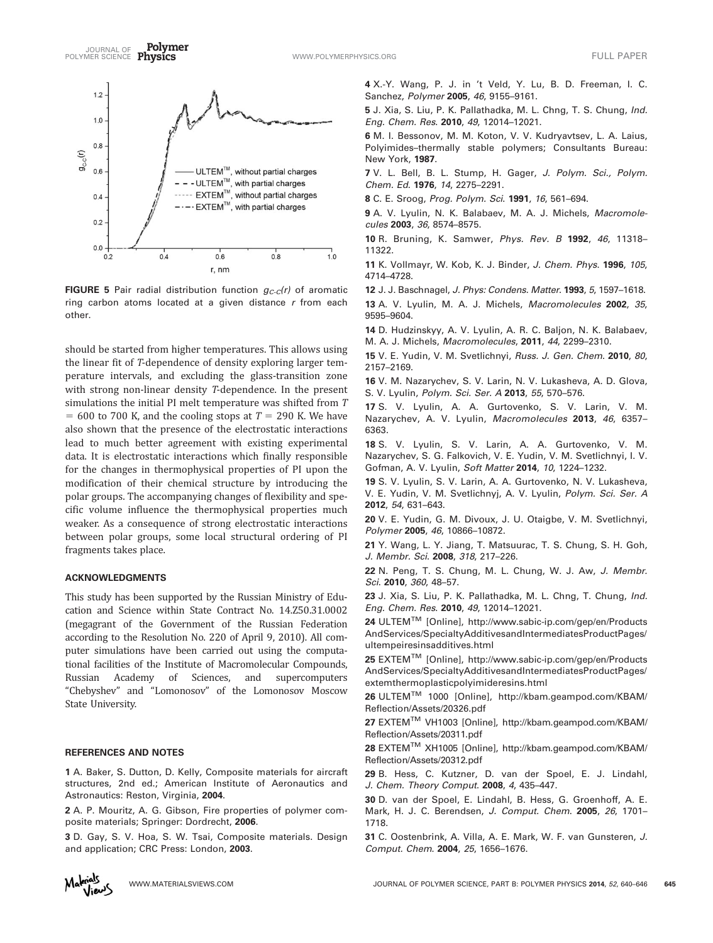Polymer JOURNAL OF TULL PAPER<br>POLYMER SCIENCE Physics The Contract of the Communication of the Contract of the Contract of Tull Paper



FIGURE 5 Pair radial distribution function  $g_{C-C}(r)$  of aromatic ring carbon atoms located at a given distance  $r$  from each other.

should be started from higher temperatures. This allows using the linear fit of T-dependence of density exploring larger temperature intervals, and excluding the glass-transition zone with strong non-linear density T-dependence. In the present simulations the initial PI melt temperature was shifted from T  $= 600$  to 700 K, and the cooling stops at  $T = 290$  K. We have also shown that the presence of the electrostatic interactions lead to much better agreement with existing experimental data. It is electrostatic interactions which finally responsible for the changes in thermophysical properties of PI upon the modification of their chemical structure by introducing the polar groups. The accompanying changes of flexibility and specific volume influence the thermophysical properties much weaker. As a consequence of strong electrostatic interactions between polar groups, some local structural ordering of PI fragments takes place.

#### ACKNOWLEDGMENTS

This study has been supported by the Russian Ministry of Education and Science within State Contract No. 14.Z50.31.0002 (megagrant of the Government of the Russian Federation according to the Resolution No. 220 of April 9, 2010). All computer simulations have been carried out using the computational facilities of the Institute of Macromolecular Compounds, Russian Academy of Sciences, and supercomputers "Chebyshev" and "Lomonosov" of the Lomonosov Moscow State University.

## REFERENCES AND NOTES

1 A. Baker, S. Dutton, D. Kelly, Composite materials for aircraft structures, 2nd ed.; American Institute of Aeronautics and Astronautics: Reston, Virginia, 2004.

2 A. P. Mouritz, A. G. Gibson, Fire properties of polymer composite materials; Springer: Dordrecht, 2006.

3 D. Gay, S. V. Hoa, S. W. Tsai, Composite materials. Design and application; CRC Press: London, 2003.

4 X.-Y. Wang, P. J. in 't Veld, Y. Lu, B. D. Freeman, I. C. Sanchez, Polymer 2005, 46, 9155–9161.

5 J. Xia, S. Liu, P. K. Pallathadka, M. L. Chng, T. S. Chung, Ind. Eng. Chem. Res. 2010, 49, 12014–12021.

6 M. I. Bessonov, M. M. Koton, V. V. Kudryavtsev, L. A. Laius, Polyimides–thermally stable polymers; Consultants Bureau: New York, 1987.

7 V. L. Bell, B. L. Stump, H. Gager, J. Polym. Sci., Polym. Chem. Ed. 1976, 14, 2275–2291.

8 C. E. Sroog, Prog. Polym. Sci. 1991, 16, 561–694.

9 A. V. Lyulin, N. K. Balabaev, M. A. J. Michels, Macromolecules 2003, 36, 8574–8575.

10 R. Bruning, K. Samwer, Phys. Rev. B 1992, 46, 11318– 11322.

11 K. Vollmayr, W. Kob, K. J. Binder, J. Chem. Phys. 1996, 105, 4714–4728.

12 J. J. Baschnagel, J. Phys: Condens. Matter. 1993, 5, 1597-1618.

13 A. V. Lyulin, M. A. J. Michels, Macromolecules 2002, 35, 9595–9604.

14 D. Hudzinskyy, A. V. Lyulin, A. R. C. Baljon, N. K. Balabaev, M. A. J. Michels, Macromolecules, 2011, 44, 2299–2310.

15 V. E. Yudin, V. M. Svetlichnyi, Russ. J. Gen. Chem. 2010, 80, 2157–2169.

16 V. M. Nazarychev, S. V. Larin, N. V. Lukasheva, A. D. Glova, S. V. Lyulin, Polym. Sci. Ser. A 2013, 55, 570–576.

17 S. V. Lyulin, A. A. Gurtovenko, S. V. Larin, V. M. Nazarychev, A. V. Lyulin, Macromolecules 2013, 46, 6357-6363.

18 S. V. Lyulin, S. V. Larin, A. A. Gurtovenko, V. M. Nazarychev, S. G. Falkovich, V. E. Yudin, V. M. Svetlichnyi, I. V. Gofman, A. V. Lyulin, Soft Matter 2014, 10, 1224-1232.

19 S. V. Lyulin, S. V. Larin, A. A. Gurtovenko, N. V. Lukasheva, V. E. Yudin, V. M. Svetlichnyj, A. V. Lyulin, Polym. Sci. Ser. A 2012, 54, 631–643.

20 V. E. Yudin, G. M. Divoux, J. U. Otaigbe, V. M. Svetlichnyi, Polymer 2005, 46, 10866-10872.

21 Y. Wang, L. Y. Jiang, T. Matsuurac, T. S. Chung, S. H. Goh, J. Membr. Sci. 2008, 318, 217–226.

22 N. Peng, T. S. Chung, M. L. Chung, W. J. Aw, J. Membr. Sci. 2010, 360, 48–57.

23 J. Xia, S. Liu, P. K. Pallathadka, M. L. Chng, T. Chung, Ind. Eng. Chem. Res. 2010, 49, 12014–12021.

24 ULTEMTM [Online], [http://www.sabic-ip.com/gep/en/Products](http://www.sabic-ip.com/gep/en/ProductsAndServices/SpecialtyAdditivesandIntermediatesProductPages/ultempeiresinsadditives.html) [AndServices/SpecialtyAdditivesandIntermediatesProductPages/](http://www.sabic-ip.com/gep/en/ProductsAndServices/SpecialtyAdditivesandIntermediatesProductPages/ultempeiresinsadditives.html) [ultempeiresinsadditives.html](http://www.sabic-ip.com/gep/en/ProductsAndServices/SpecialtyAdditivesandIntermediatesProductPages/ultempeiresinsadditives.html)

25 EXTEMTM [Online], [http://www.sabic-ip.com/gep/en/Products](http://www.sabic-ip.com/gep/en/ProductsAndServices/SpecialtyAdditivesandIntermediatesProductPages/extemthermoplasticpolyimideresins.html) [AndServices/SpecialtyAdditivesandIntermediatesProductPages/](http://www.sabic-ip.com/gep/en/ProductsAndServices/SpecialtyAdditivesandIntermediatesProductPages/extemthermoplasticpolyimideresins.html) [extemthermoplasticpolyimideresins.html](http://www.sabic-ip.com/gep/en/ProductsAndServices/SpecialtyAdditivesandIntermediatesProductPages/extemthermoplasticpolyimideresins.html)

26 ULTEMTM 1000 [Online], [http://kbam.geampod.com/KBAM/](http://kbam.geampod.com/KBAM/Reflection/Assets/20326.pdf) [Reflection/Assets/20326.pdf](http://kbam.geampod.com/KBAM/Reflection/Assets/20326.pdf)

27 EXTEMTM VH1003 [Online], [http://kbam.geampod.com/KBAM/](http://kbam.geampod.com/KBAM/Reflection/Assets/20311.pdf) [Reflection/Assets/20311.pdf](http://kbam.geampod.com/KBAM/Reflection/Assets/20311.pdf)

28 EXTEMTM XH1005 [Online], [http://kbam.geampod.com/KBAM/](http://kbam.geampod.com/KBAM/Reflection/Assets/20312.pdf) [Reflection/Assets/20312.pdf](http://kbam.geampod.com/KBAM/Reflection/Assets/20312.pdf)

29 B. Hess, C. Kutzner, D. van der Spoel, E. J. Lindahl, J. Chem. Theory Comput. 2008, 4, 435–447.

30 D. van der Spoel, E. Lindahl, B. Hess, G. Groenhoff, A. E. Mark, H. J. C. Berendsen, J. Comput. Chem. 2005, 26, 1701– 1718.

31 C. Oostenbrink, A. Villa, A. E. Mark, W. F. van Gunsteren, J. Comput. Chem. 2004, 25, 1656–1676.